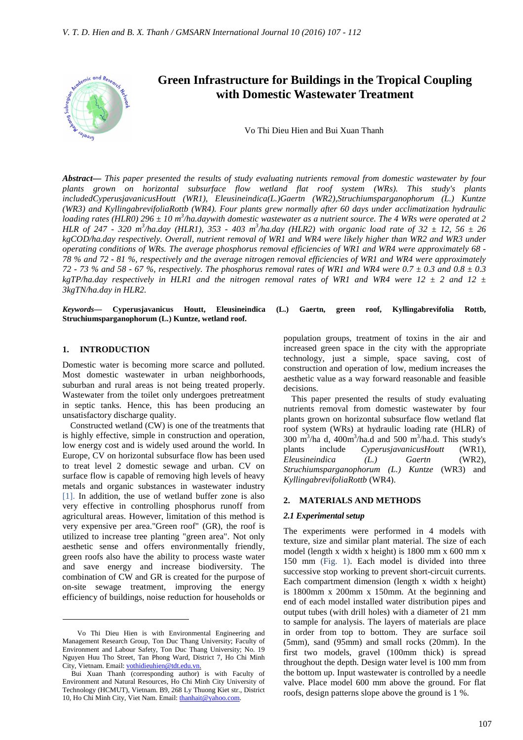

# **Green Infrastructure for Buildings in the Tropical Coupling with Domestic Wastewater Treatment**

Vo Thi Dieu Hien and Bui Xuan Thanh

*Abstract***—** *This paper presented the results of study evaluating nutrients removal from domestic wastewater by four plants grown on horizontal subsurface flow wetland flat roof system (WRs). This study's plants includedCyperusjavanicusHoutt (WR1), Eleusineindica(L.)Gaertn (WR2),Struchiumsparganophorum (L.) Kuntze (WR3) and KyllingabrevifoliaRottb (WR4). Four plants grew normally after 60 days under acclimatization hydraulic*  loading rates (HLR0) 296  $\pm$  10 m<sup>3</sup>/ha.daywith domestic wastewater as a nutrient source. The 4 WRs were operated at 2 *HLR of 247 - 320 m<sup>3</sup>/ha.day (HLR1), 353 - 403 m<sup>3</sup>/ha.day (HLR2) with organic load rate of 32*  $\pm$  *12, 56*  $\pm$  *26 kgCOD/ha.day respectively. Overall, nutrient removal of WR1 and WR4 were likely higher than WR2 and WR3 under operating conditions of WRs. The average phosphorus removal efficiencies of WR1 and WR4 were approximately 68 - 78 % and 72 - 81 %, respectively and the average nitrogen removal efficiencies of WR1 and WR4 were approximately 72 - 73 % and 58 - 67 %, respectively. The phosphorus removal rates of WR1 and WR4 were 0.7 ± 0.3 and 0.8 ± 0.3*   $kgTP/ha.$ *day respectively in HLR1 and the nitrogen removal rates of WR1 and WR4 were 12*  $\pm$  *2 and 12*  $\pm$ *3kgTN/ha.day in HLR2.*

*Keywords***— Cyperusjavanicus Houtt, Eleusineindica (L.) Gaertn, green roof, Kyllingabrevifolia Rottb, Struchiumsparganophorum (L.) Kuntze, wetland roof.**

#### **1. INTRODUCTION**

 $\overline{a}$ 

Domestic water is becoming more scarce and polluted. Most domestic wastewater in urban neighborhoods, suburban and rural areas is not being treated properly. Wastewater from the toilet only undergoes pretreatment in septic tanks. Hence, this has been producing an unsatisfactory discharge quality.

Constructed wetland (CW) is one of the treatments that is highly effective, simple in construction and operation, low energy cost and is widely used around the world. In Europe, CV on horizontal subsurface flow has been used to treat level 2 domestic sewage and urban. CV on surface flow is capable of removing high levels of heavy metals and organic substances in wastewater industry [1]. In addition, the use of wetland buffer zone is also very effective in controlling phosphorus runoff from agricultural areas. However, limitation of this method is very expensive per area."Green roof" (GR), the roof is utilized to increase tree planting "green area". Not only aesthetic sense and offers environmentally friendly, green roofs also have the ability to process waste water and save energy and increase biodiversity. The combination of CW and GR is created for the purpose of on-site sewage treatment, improving the energy efficiency of buildings, noise reduction for households or

population groups, treatment of toxins in the air and increased green space in the city with the appropriate technology, just a simple, space saving, cost of construction and operation of low, medium increases the aesthetic value as a way forward reasonable and feasible decisions.

This paper presented the results of study evaluating nutrients removal from domestic wastewater by four plants grown on horizontal subsurface flow wetland flat roof system (WRs) at hydraulic loading rate (HLR) of  $300 \text{ m}^3/\text{ha}$  d,  $400 \text{m}^3/\text{ha}$ .d and  $500 \text{ m}^3/\text{ha}$ .d. This study's plants include *CyperusjavanicusHoutt* (WR1), *Eleusineindica (L.) Gaertn* (WR2), *Struchiumsparganophorum (L.) Kuntze* (WR3) and *KyllingabrevifoliaRottb* (WR4).

#### **2. MATERIALS AND METHODS**

#### *2.1 Experimental setup*

The experiments were performed in 4 models with texture, size and similar plant material. The size of each model (length x width x height) is 1800 mm x 600 mm x 150 mm (Fig. 1). Each model is divided into three successive stop working to prevent short-circuit currents. Each compartment dimension (length x width x height) is 1800mm x 200mm x 150mm. At the beginning and end of each model installed water distribution pipes and output tubes (with drill holes) with a diameter of 21 mm to sample for analysis. The layers of materials are place in order from top to bottom. They are surface soil (5mm), sand (95mm) and small rocks (20mm). In the first two models, gravel (100mm thick) is spread throughout the depth. Design water level is 100 mm from the bottom up. Input wastewater is controlled by a needle valve. Place model 600 mm above the ground. For flat roofs, design patterns slope above the ground is 1 %.

Vo Thi Dieu Hien is with Environmental Engineering and Management Research Group, Ton Duc Thang University; Faculty of Environment and Labour Safety, Ton Duc Thang University; No. 19 Nguyen Huu Tho Street, Tan Phong Ward, District 7, Ho Chi Minh City, Vietnam. Email: vothidieuhien@tdt.edu.vn.

Bui Xuan Thanh (corresponding author) is with Faculty of Environment and Natural Resources, Ho Chi Minh City University of Technology (HCMUT), Vietnam. B9, 268 Ly Thuong Kiet str., District 10, Ho Chi Minh City, Viet Nam. Email: thanhait@yahoo.com.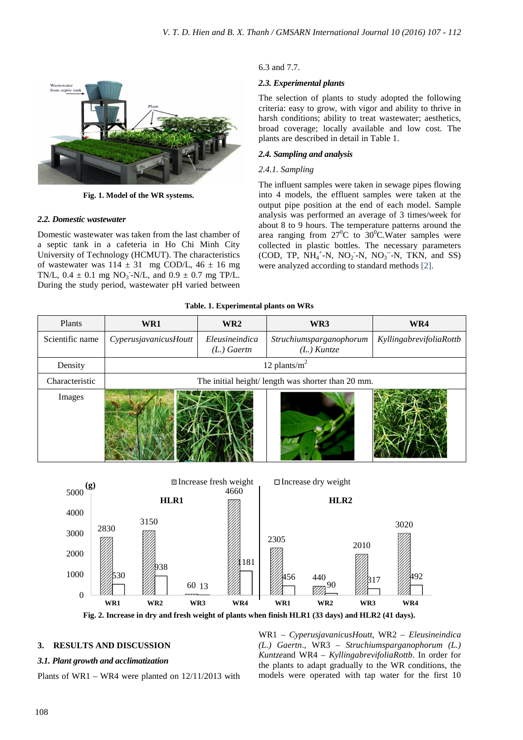

**Fig. 1. Model of the WR systems.** 

# *2.2. Domestic wastewater*

Domestic wastewater was taken from the last chamber of a septic tank in a cafeteria in Ho Chi Minh City University of Technology (HCMUT). The characteristics of wastewater was  $114 \pm 31$  mg COD/L,  $46 \pm 16$  mg TN/L,  $0.4 \pm 0.1$  mg NO<sub>3</sub>-N/L, and  $0.9 \pm 0.7$  mg TP/L. During the study period, wastewater pH varied between

# 6.3 and 7.7.

# *2.3. Experimental plants*

The selection of plants to study adopted the following criteria: easy to grow, with vigor and ability to thrive in harsh conditions; ability to treat wastewater; aesthetics, broad coverage; locally available and low cost. The plants are described in detail in Table 1.

# *2.4. Sampling and analysis*

## *2.4.1. Sampling*

The influent samples were taken in sewage pipes flowing into 4 models, the effluent samples were taken at the output pipe position at the end of each model. Sample analysis was performed an average of 3 times/week for about 8 to 9 hours. The temperature patterns around the area ranging from  $27^0C$  to  $30^0C$ . Water samples were collected in plastic bottles. The necessary parameters  $(COD, TP, NH<sub>4</sub><sup>+</sup>-N, NO<sub>2</sub>-N, NO<sub>3</sub><sup>-</sup>-N, TKN, and SS)$ were analyzed according to standard methods [2].

|  | Table. 1. Experimental plants on WRs |
|--|--------------------------------------|
|--|--------------------------------------|

| Plants          | WR1                                               | WR <sub>2</sub>                 | WR3                                      | WR4                     |  |
|-----------------|---------------------------------------------------|---------------------------------|------------------------------------------|-------------------------|--|
| Scientific name | CyperusjavanicusHoutt                             | Eleusineindica<br>$(L.)$ Gaertn | Struchiumsparganophorum<br>$(L.)$ Kuntze | KyllingabrevifoliaRottb |  |
| Density         | 12 plants/ $m2$                                   |                                 |                                          |                         |  |
| Characteristic  | The initial height/length was shorter than 20 mm. |                                 |                                          |                         |  |
| Images          |                                                   |                                 |                                          |                         |  |



### **3. RESULTS AND DISCUSSION**

### *3.1. Plant growth and acclimatization*

Plants of WR1 – WR4 were planted on 12/11/2013 with

WR1 – *CyperusjavanicusHoutt*, WR2 – *Eleusineindica (L.) Gaertn*., WR3 – *Struchiumsparganophorum (L.) Kuntze*and WR4 – *KyllingabrevifoliaRottb*. In order for the plants to adapt gradually to the WR conditions, the models were operated with tap water for the first 10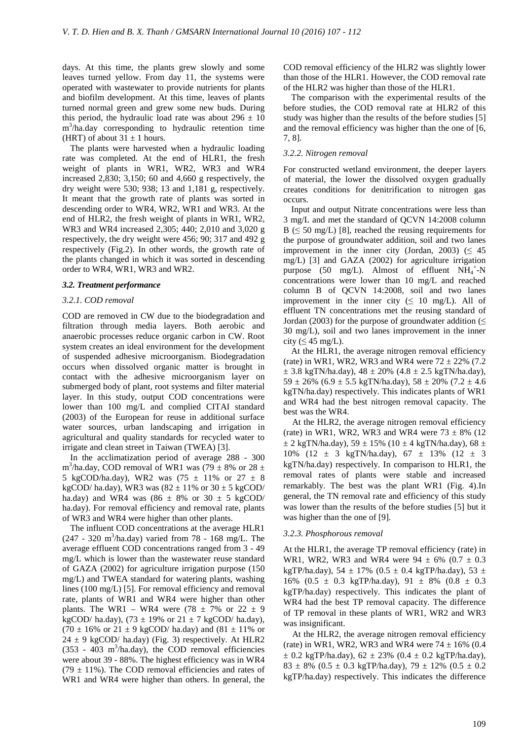days. At this time, the plants grew slowly and some leaves turned yellow. From day 11, the systems were operated with wastewater to provide nutrients for plants and biofilm development. At this time, leaves of plants turned normal green and grew some new buds. During this period, the hydraulic load rate was about  $296 \pm 10$ m<sup>3</sup>/ha.day corresponding to hydraulic retention time (HRT) of about  $31 \pm 1$  hours.

The plants were harvested when a hydraulic loading rate was completed. At the end of HLR1, the fresh weight of plants in WR1, WR2, WR3 and WR4 increased 2,830; 3,150; 60 and 4,660 g respectively, the dry weight were 530; 938; 13 and 1,181 g, respectively. It meant that the growth rate of plants was sorted in descending order to WR4, WR2, WR1 and WR3. At the end of HLR2, the fresh weight of plants in WR1, WR2, WR3 and WR4 increased 2,305; 440; 2,010 and 3,020 g respectively, the dry weight were 456; 90; 317 and 492 g respectively (Fig.2). In other words, the growth rate of the plants changed in which it was sorted in descending order to WR4, WR1, WR3 and WR2.

#### *3.2. Treatment performance*

#### *3.2.1. COD removal*

COD are removed in CW due to the biodegradation and filtration through media layers. Both aerobic and anaerobic processes reduce organic carbon in CW. Root system creates an ideal environment for the development of suspended adhesive microorganism. Biodegradation occurs when dissolved organic matter is brought in contact with the adhesive microorganism layer on submerged body of plant, root systems and filter material layer. In this study, output COD concentrations were lower than 100 mg/L and complied CITAI standard (2003) of the European for reuse in additional surface water sources, urban landscaping and irrigation in agricultural and quality standards for recycled water to irrigate and clean street in Taiwan (TWEA) [3].

In the acclimatization period of average 288 - 300 m<sup>3</sup>/ha.day, COD removal of WR1 was (79  $\pm$  8% or 28  $\pm$ 5 kgCOD/ha.day), WR2 was  $(75 \pm 11\% \text{ or } 27 \pm 8$ kgCOD/ ha.day), WR3 was  $(82 \pm 11\% \text{ or } 30 \pm 5 \text{ kgCOD}/$ ha.day) and WR4 was  $(86 \pm 8\% \text{ or } 30 \pm 5 \text{ kgCOD}/$ ha.day). For removal efficiency and removal rate, plants of WR3 and WR4 were higher than other plants.

The influent COD concentrations at the average HLR1  $(247 - 320 \text{ m}^3/\text{ha/day})$  varied from 78 - 168 mg/L. The average effluent COD concentrations ranged from 3 - 49 mg/L which is lower than the wastewater reuse standard of GAZA (2002) for agriculture irrigation purpose (150 mg/L) and TWEA standard for watering plants, washing lines (100 mg/L) [5]. For removal efficiency and removal rate, plants of WR1 and WR4 were higher than other plants. The WR1 – WR4 were  $(78 \pm 7\% \text{ or } 22 \pm 9)$ kgCOD/ ha.day), (73  $\pm$  19% or 21  $\pm$  7 kgCOD/ ha.day),  $(70 \pm 16\% \text{ or } 21 \pm 9 \text{ kgCOD/} \text{ ha.day})$  and  $(81 \pm 11\% \text{ or } 11 \pm 9 \text{ kgCOD/} \text{ ha.day})$  $24 \pm 9$  kgCOD/ ha.day) (Fig. 3) respectively. At HLR2  $(353 - 403 \text{ m}^3/\text{ha.day})$ , the COD removal efficiencies were about 39 - 88%. The highest efficiency was in WR4  $(79 \pm 11\%)$ . The COD removal efficiencies and rates of WR1 and WR4 were higher than others. In general, the

COD removal efficiency of the HLR2 was slightly lower than those of the HLR1. However, the COD removal rate of the HLR2 was higher than those of the HLR1.

The comparison with the experimental results of the before studies, the COD removal rate at HLR2 of this study was higher than the results of the before studies [5] and the removal efficiency was higher than the one of [6, 7, 8]*.* 

### *3.2.2. Nitrogen removal*

For constructed wetland environment, the deeper layers of material, the lower the dissolved oxygen gradually creates conditions for denitrification to nitrogen gas occurs.

Input and output Nitrate concentrations were less than 3 mg/L and met the standard of QCVN 14:2008 column  $B \leq 50$  mg/L) [8], reached the reusing requirements for the purpose of groundwater addition, soil and two lanes improvement in the inner city (Jordan, 2003) ( $\leq 45$ ) mg/L) [3] and GAZA (2002) for agriculture irrigation purpose (50 mg/L). Almost of effluent  $NH_4^+$ -N concentrations were lower than 10 mg/L and reached column B of QCVN 14:2008, soil and two lanes improvement in the inner city ( $\leq 10$  mg/L). All of effluent TN concentrations met the reusing standard of Jordan (2003) for the purpose of groundwater addition ( $\leq$ 30 mg/L), soil and two lanes improvement in the inner city ( $\leq 45$  mg/L).

At the HLR1, the average nitrogen removal efficiency (rate) in WR1, WR2, WR3 and WR4 were  $72 \pm 22\%$  (7.2)  $\pm$  3.8 kgTN/ha.day), 48  $\pm$  20% (4.8  $\pm$  2.5 kgTN/ha.day),  $59 \pm 26\%$  (6.9  $\pm$  5.5 kgTN/ha.day),  $58 \pm 20\%$  (7.2  $\pm$  4.6 kgTN/ha.day) respectively. This indicates plants of WR1 and WR4 had the best nitrogen removal capacity. The best was the WR4.

At the HLR2, the average nitrogen removal efficiency (rate) in WR1, WR2, WR3 and WR4 were  $73 \pm 8\%$  (12)  $\pm$  2 kgTN/ha.day), 59  $\pm$  15% (10  $\pm$  4 kgTN/ha.day), 68  $\pm$ 10% (12  $\pm$  3 kgTN/ha.day), 67  $\pm$  13% (12  $\pm$  3 kgTN/ha.day) respectively. In comparison to HLR1, the removal rates of plants were stable and increased remarkably. The best was the plant WR1 (Fig. 4).In general, the TN removal rate and efficiency of this study was lower than the results of the before studies [5] but it was higher than the one of [9]*.*

#### *3.2.3. Phosphorous removal*

At the HLR1, the average TP removal efficiency (rate) in WR1, WR2, WR3 and WR4 were  $94 \pm 6\%$  (0.7  $\pm$  0.3 kgTP/ha.day), 54  $\pm$  17% (0.5  $\pm$  0.4 kgTP/ha.day), 53  $\pm$ 16% (0.5  $\pm$  0.3 kgTP/ha.day), 91  $\pm$  8% (0.8  $\pm$  0.3 kgTP/ha.day) respectively. This indicates the plant of WR4 had the best TP removal capacity. The difference of TP removal in these plants of WR1, WR2 and WR3 was insignificant.

At the HLR2, the average nitrogen removal efficiency (rate) in WR1, WR2, WR3 and WR4 were  $74 \pm 16\%$  (0.4)  $\pm$  0.2 kgTP/ha.day), 62  $\pm$  23% (0.4  $\pm$  0.2 kgTP/ha.day),  $83 \pm 8\%$  (0.5  $\pm$  0.3 kgTP/ha.day), 79  $\pm$  12% (0.5  $\pm$  0.2 kgTP/ha.day) respectively. This indicates the difference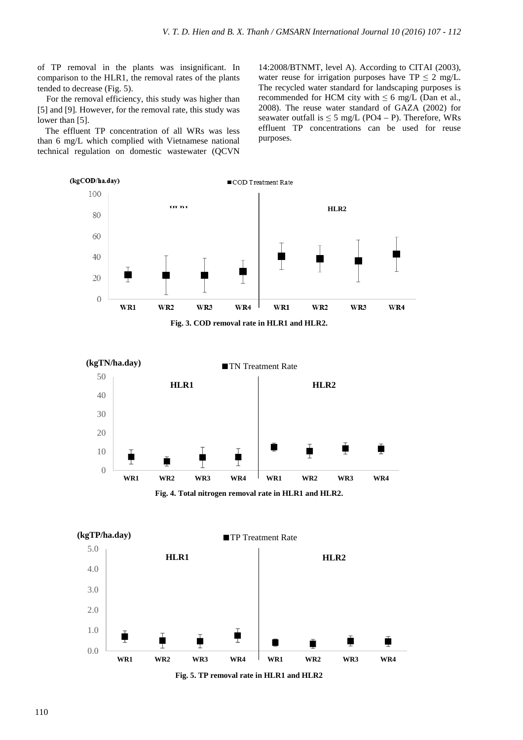of TP removal in the plants was insignificant. In comparison to the HLR1, the removal rates of the plants tended to decrease (Fig. 5).

For the removal efficiency, this study was higher than [5] and [9]. However, for the removal rate, this study was lower than [5].

The effluent TP concentration of all WRs was less than 6 mg/L which complied with Vietnamese national technical regulation on domestic wastewater (QCVN 14:2008/BTNMT, level A). According to CITAI (2003), water reuse for irrigation purposes have  $TP \leq 2$  mg/L. The recycled water standard for landscaping purposes is recommended for HCM city with  $\leq 6$  mg/L (Dan et al., 2008). The reuse water standard of GAZA (2002) for seawater outfall is  $\leq$  5 mg/L (PO4 – P). Therefore, WRs effluent TP concentrations can be used for reuse purposes.